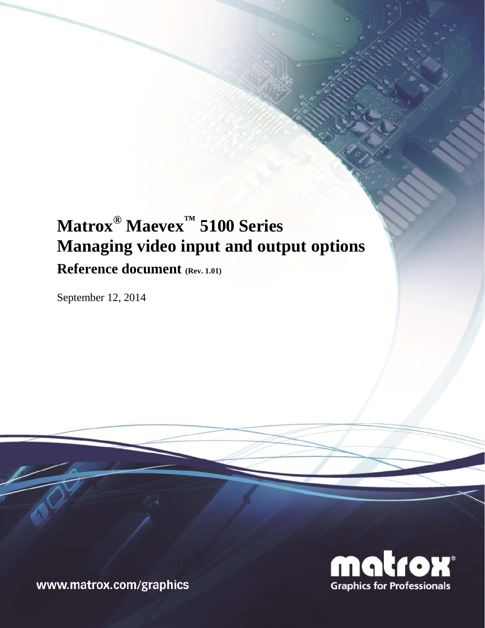# **Matrox® Maevex™ 5100 Series Managing video input and output options Reference document (Rev. 1.01)**

September 12, 2014



www.matrox.com/graphics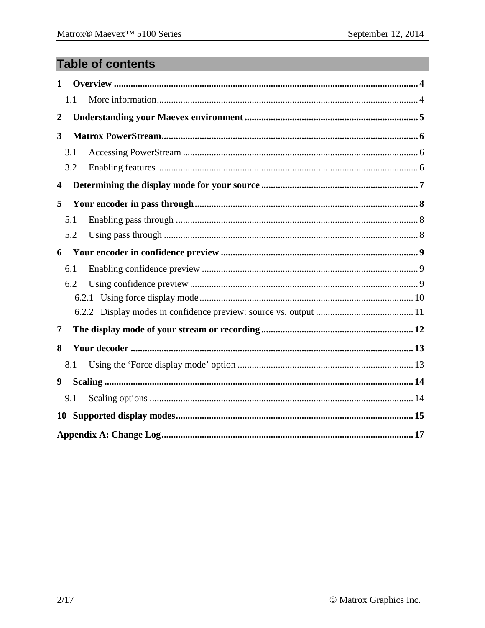## **Table of contents**

| $\mathbf{1}$            |     |  |  |  |  |
|-------------------------|-----|--|--|--|--|
|                         | 1.1 |  |  |  |  |
| $\boldsymbol{2}$        |     |  |  |  |  |
| 3                       |     |  |  |  |  |
|                         | 3.1 |  |  |  |  |
|                         | 3.2 |  |  |  |  |
| $\overline{\mathbf{4}}$ |     |  |  |  |  |
| 5                       |     |  |  |  |  |
|                         | 5.1 |  |  |  |  |
|                         | 5.2 |  |  |  |  |
| 6                       |     |  |  |  |  |
|                         | 6.1 |  |  |  |  |
|                         | 6.2 |  |  |  |  |
| 6.2.1                   |     |  |  |  |  |
|                         |     |  |  |  |  |
| 7                       |     |  |  |  |  |
| 8                       |     |  |  |  |  |
|                         | 8.1 |  |  |  |  |
| 9                       |     |  |  |  |  |
|                         | 9.1 |  |  |  |  |
| <b>10</b>               |     |  |  |  |  |
|                         |     |  |  |  |  |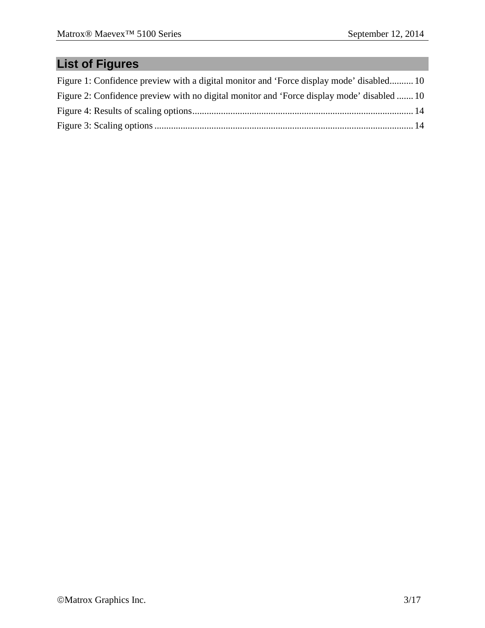# **List of Figures**

| Figure 1: Confidence preview with a digital monitor and 'Force display mode' disabled 10   |  |
|--------------------------------------------------------------------------------------------|--|
| Figure 2: Confidence preview with no digital monitor and 'Force display mode' disabled  10 |  |
|                                                                                            |  |
|                                                                                            |  |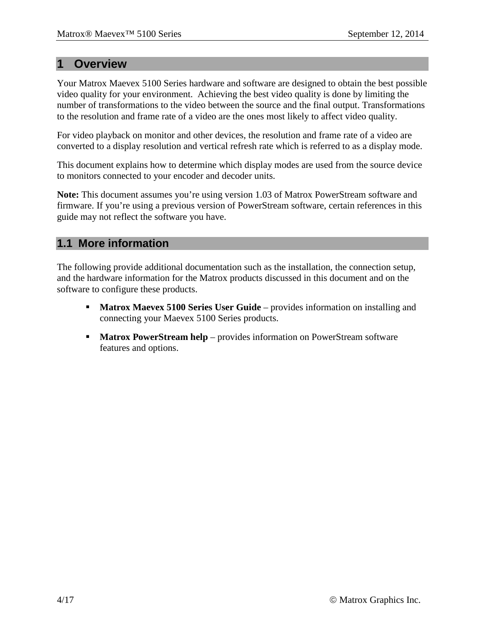#### **1 Overview**

Your Matrox Maevex 5100 Series hardware and software are designed to obtain the best possible video quality for your environment. Achieving the best video quality is done by limiting the number of transformations to the video between the source and the final output. Transformations to the resolution and frame rate of a video are the ones most likely to affect video quality.

For video playback on monitor and other devices, the resolution and frame rate of a video are converted to a display resolution and vertical refresh rate which is referred to as a display mode.

This document explains how to determine which display modes are used from the source device to monitors connected to your encoder and decoder units.

**Note:** This document assumes you're using version 1.03 of Matrox PowerStream software and firmware. If you're using a previous version of PowerStream software, certain references in this guide may not reflect the software you have.

#### **1.1 More information**

The following provide additional documentation such as the installation, the connection setup, and the hardware information for the Matrox products discussed in this document and on the software to configure these products.

- **Matrox Maevex 5100 Series User Guide** provides information on installing and connecting your Maevex 5100 Series products.
- **Matrox PowerStream help** provides information on PowerStream software features and options.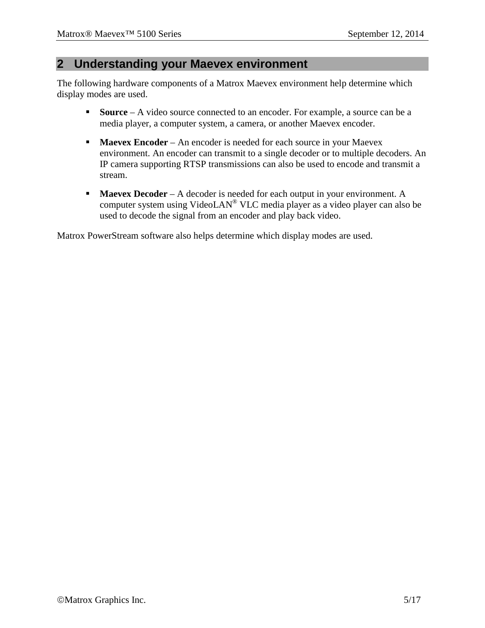#### **2 Understanding your Maevex environment**

The following hardware components of a Matrox Maevex environment help determine which display modes are used.

- **Source** A video source connected to an encoder. For example, a source can be a media player, a computer system, a camera, or another Maevex encoder.
- **Maevex Encoder** An encoder is needed for each source in your Maevex environment. An encoder can transmit to a single decoder or to multiple decoders. An IP camera supporting RTSP transmissions can also be used to encode and transmit a stream.
- **Maevex Decoder** A decoder is needed for each output in your environment. A computer system using VideoLAN® VLC media player as a video player can also be used to decode the signal from an encoder and play back video.

Matrox PowerStream software also helps determine which display modes are used.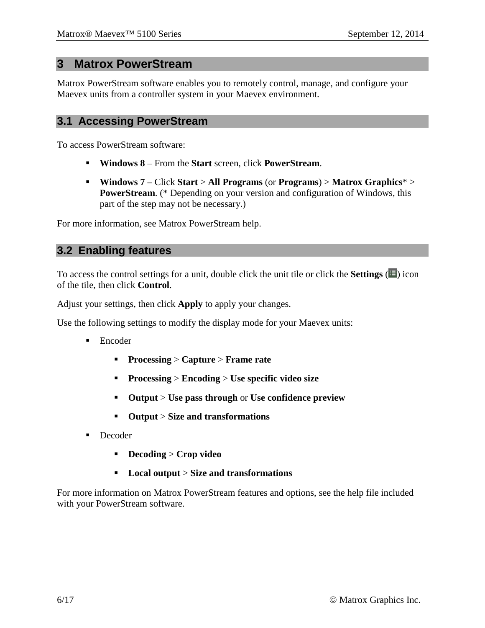#### **3 Matrox PowerStream**

Matrox PowerStream software enables you to remotely control, manage, and configure your Maevex units from a controller system in your Maevex environment.

#### **3.1 Accessing PowerStream**

To access PowerStream software:

- **Windows 8** From the **Start** screen, click **PowerStream**.
- **Windows 7** Click **Start** > **All Programs** (or **Programs**) > **Matrox Graphics**\* > **PowerStream.** (\* Depending on your version and configuration of Windows, this part of the step may not be necessary.)

For more information, see Matrox PowerStream help.

#### <span id="page-5-0"></span>**3.2 Enabling features**

To access the control settings for a unit, double click the unit tile or click the **Settings**  $(\mathbf{F})$  icon of the tile, then click **Control**.

Adjust your settings, then click **Apply** to apply your changes.

Use the following settings to modify the display mode for your Maevex units:

- **Encoder** 
	- **Processing** > **Capture** > **Frame rate**
	- **Processing** > **Encoding** > **Use specific video size**
	- **Output** > **Use pass through** or **Use confidence preview**
	- **Output** > **Size and transformations**
- Decoder
	- **Decoding** > **Crop video**
	- **Local output** > **Size and transformations**

For more information on Matrox PowerStream features and options, see the help file included with your PowerStream software.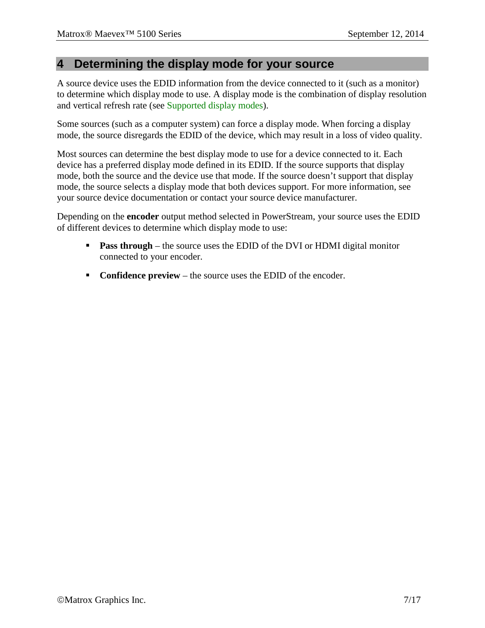#### **4 Determining the display mode for your source**

A source device uses the EDID information from the device connected to it (such as a monitor) to determine which display mode to use. A display mode is the combination of display resolution and vertical refresh rate (see [Supported display modes\)](#page-14-0).

Some sources (such as a computer system) can force a display mode. When forcing a display mode, the source disregards the EDID of the device, which may result in a loss of video quality.

Most sources can determine the best display mode to use for a device connected to it. Each device has a preferred display mode defined in its EDID. If the source supports that display mode, both the source and the device use that mode. If the source doesn't support that display mode, the source selects a display mode that both devices support. For more information, see your source device documentation or contact your source device manufacturer.

Depending on the **encoder** output method selected in PowerStream, your source uses the EDID of different devices to determine which display mode to use:

- **Pass through** the source uses the EDID of the DVI or HDMI digital monitor connected to your encoder.
- **Confidence preview** the source uses the EDID of the encoder.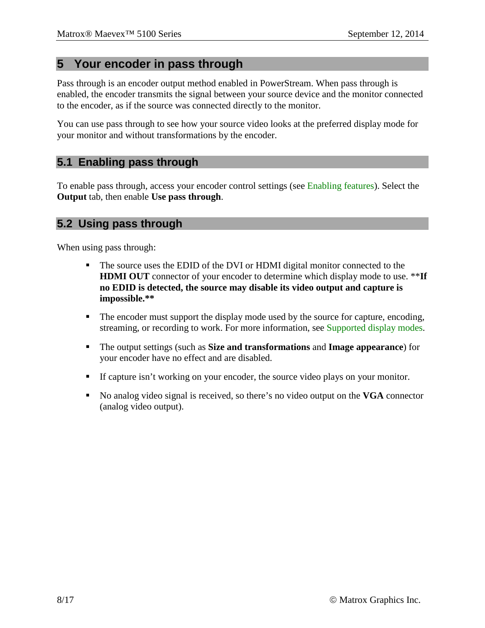#### **5 Your encoder in pass through**

Pass through is an encoder output method enabled in PowerStream. When pass through is enabled, the encoder transmits the signal between your source device and the monitor connected to the encoder, as if the source was connected directly to the monitor.

You can use pass through to see how your source video looks at the preferred display mode for your monitor and without transformations by the encoder.

#### **5.1 Enabling pass through**

To enable pass through, access your encoder control settings (see [Enabling features\)](#page-5-0). Select the **Output** tab, then enable **Use pass through**.

#### **5.2 Using pass through**

When using pass through:

- The source uses the EDID of the DVI or HDMI digital monitor connected to the **HDMI OUT** connector of your encoder to determine which display mode to use. \*\***If no EDID is detected, the source may disable its video output and capture is impossible.\*\***
- The encoder must support the display mode used by the source for capture, encoding, streaming, or recording to work. For more information, see [Supported display modes.](#page-14-0)
- The output settings (such as **Size and transformations** and **Image appearance**) for your encoder have no effect and are disabled.
- If capture isn't working on your encoder, the source video plays on your monitor.
- No analog video signal is received, so there's no video output on the **VGA** connector (analog video output).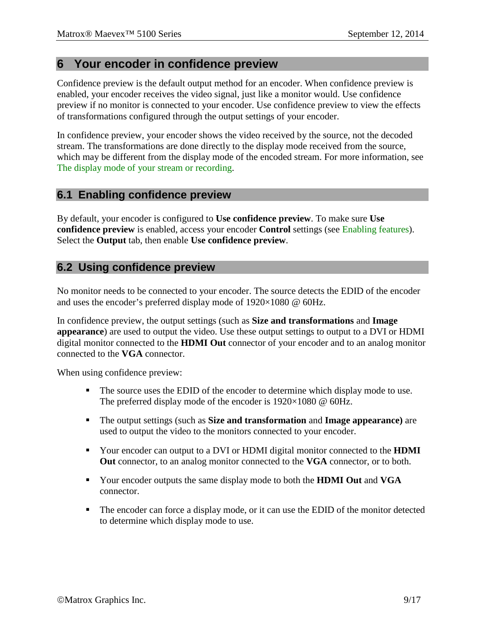#### **6 Your encoder in confidence preview**

Confidence preview is the default output method for an encoder. When confidence preview is enabled, your encoder receives the video signal, just like a monitor would. Use confidence preview if no monitor is connected to your encoder. Use confidence preview to view the effects of transformations configured through the output settings of your encoder.

In confidence preview, your encoder shows the video received by the source, not the decoded stream. The transformations are done directly to the display mode received from the source, which may be different from the display mode of the encoded stream. For more information, see [The display mode of your stream or recording.](#page-11-0)

#### **6.1 Enabling confidence preview**

By default, your encoder is configured to **Use confidence preview**. To make sure **Use confidence preview** is enabled, access your encoder **Control** settings (see [Enabling features\)](#page-5-0). Select the **Output** tab, then enable **Use confidence preview**.

#### **6.2 Using confidence preview**

No monitor needs to be connected to your encoder. The source detects the EDID of the encoder and uses the encoder's preferred display mode of 1920×1080 @ 60Hz.

In confidence preview, the output settings (such as **Size and transformations** and **Image appearance**) are used to output the video. Use these output settings to output to a DVI or HDMI digital monitor connected to the **HDMI Out** connector of your encoder and to an analog monitor connected to the **VGA** connector.

When using confidence preview:

- The source uses the EDID of the encoder to determine which display mode to use. The preferred display mode of the encoder is 1920×1080 @ 60Hz.
- The output settings (such as **Size and transformation** and **Image appearance)** are used to output the video to the monitors connected to your encoder.
- Your encoder can output to a DVI or HDMI digital monitor connected to the **HDMI Out** connector, to an analog monitor connected to the **VGA** connector, or to both.
- Your encoder outputs the same display mode to both the **HDMI Out** and **VGA** connector.
- The encoder can force a display mode, or it can use the EDID of the monitor detected to determine which display mode to use.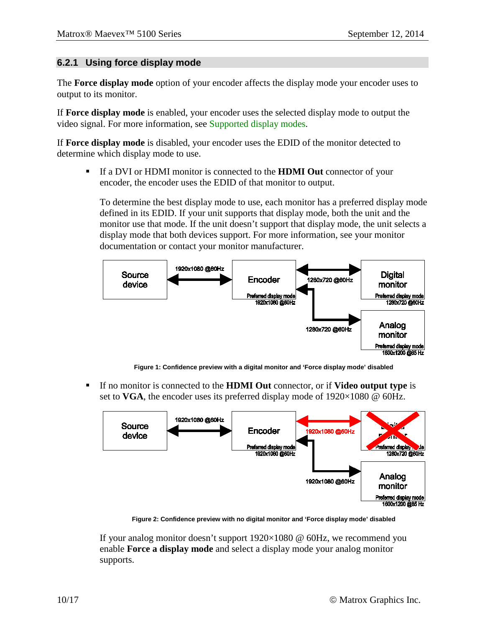#### **6.2.1 Using force display mode**

The **Force display mode** option of your encoder affects the display mode your encoder uses to output to its monitor.

If **Force display mode** is enabled, your encoder uses the selected display mode to output the video signal. For more information, see [Supported display modes.](#page-14-0)

If **Force display mode** is disabled, your encoder uses the EDID of the monitor detected to determine which display mode to use.

 If a DVI or HDMI monitor is connected to the **HDMI Out** connector of your encoder, the encoder uses the EDID of that monitor to output.

To determine the best display mode to use, each monitor has a preferred display mode defined in its EDID. If your unit supports that display mode, both the unit and the monitor use that mode. If the unit doesn't support that display mode, the unit selects a display mode that both devices support. For more information, see your monitor documentation or contact your monitor manufacturer.



**Figure 1: Confidence preview with a digital monitor and 'Force display mode' disabled**

<span id="page-9-0"></span> If no monitor is connected to the **HDMI Out** connector, or if **Video output type** is set to **VGA**, the encoder uses its preferred display mode of  $1920 \times 1080$  @ 60Hz.



**Figure 2: Confidence preview with no digital monitor and 'Force display mode' disabled**

<span id="page-9-1"></span>If your analog monitor doesn't support  $1920\times1080$  @ 60Hz, we recommend you enable **Force a display mode** and select a display mode your analog monitor supports.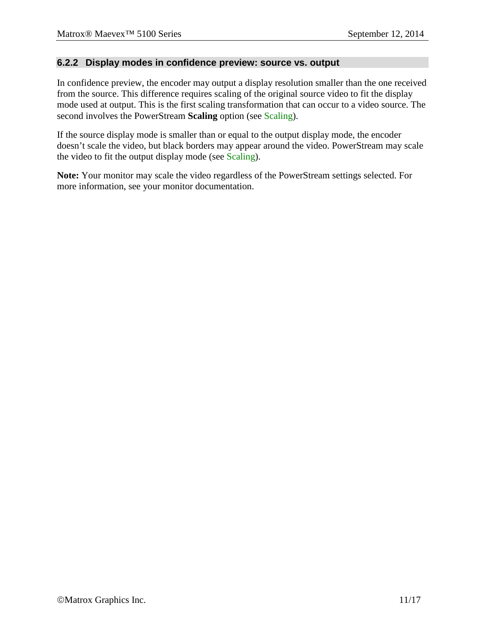#### **6.2.2 Display modes in confidence preview: source vs. output**

In confidence preview, the encoder may output a display resolution smaller than the one received from the source. This difference requires scaling of the original source video to fit the display mode used at output. This is the first scaling transformation that can occur to a video source. The second involves the PowerStream **Scaling** option (see [Scaling\)](#page-13-1).

If the source display mode is smaller than or equal to the output display mode, the encoder doesn't scale the video, but black borders may appear around the video. PowerStream may scale the video to fit the output display mode (see [Scaling\)](#page-13-1).

**Note:** Your monitor may scale the video regardless of the PowerStream settings selected. For more information, see your monitor documentation.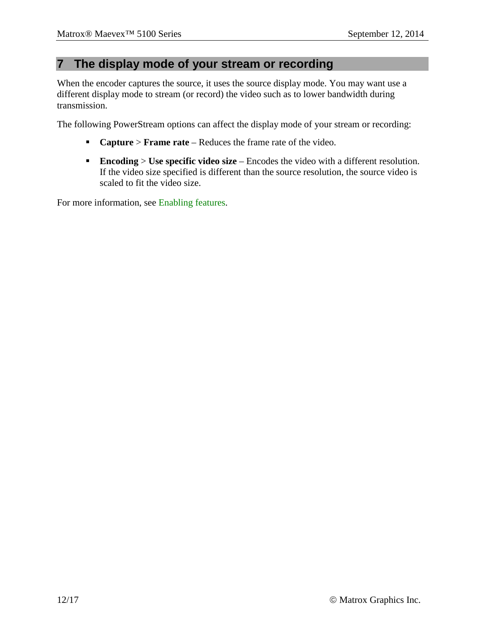#### <span id="page-11-0"></span>**7 The display mode of your stream or recording**

When the encoder captures the source, it uses the source display mode. You may want use a different display mode to stream (or record) the video such as to lower bandwidth during transmission.

The following PowerStream options can affect the display mode of your stream or recording:

- **Capture** > **Frame rate** Reduces the frame rate of the video.
- **Encoding** > **Use specific video size** Encodes the video with a different resolution. If the video size specified is different than the source resolution, the source video is scaled to fit the video size.

For more information, see [Enabling features.](#page-5-0)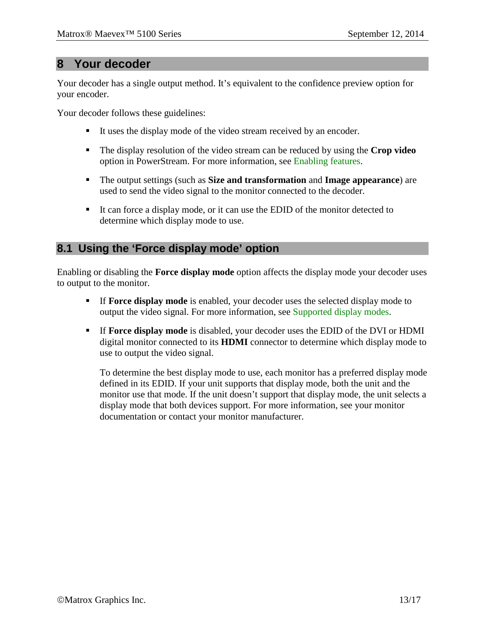### **8 Your decoder**

Your decoder has a single output method. It's equivalent to the confidence preview option for your encoder.

Your decoder follows these guidelines:

- It uses the display mode of the video stream received by an encoder.
- The display resolution of the video stream can be reduced by using the **Crop video** option in PowerStream. For more information, see [Enabling features.](#page-5-0)
- The output settings (such as **Size and transformation** and **Image appearance**) are used to send the video signal to the monitor connected to the decoder.
- It can force a display mode, or it can use the EDID of the monitor detected to determine which display mode to use.

#### **8.1 Using the 'Force display mode' option**

Enabling or disabling the **Force display mode** option affects the display mode your decoder uses to output to the monitor.

- If **Force display mode** is enabled, your decoder uses the selected display mode to output the video signal. For more information, see [Supported display modes.](#page-14-0)
- If **Force display mode** is disabled, your decoder uses the EDID of the DVI or HDMI digital monitor connected to its **HDMI** connector to determine which display mode to use to output the video signal.

To determine the best display mode to use, each monitor has a preferred display mode defined in its EDID. If your unit supports that display mode, both the unit and the monitor use that mode. If the unit doesn't support that display mode, the unit selects a display mode that both devices support. For more information, see your monitor documentation or contact your monitor manufacturer.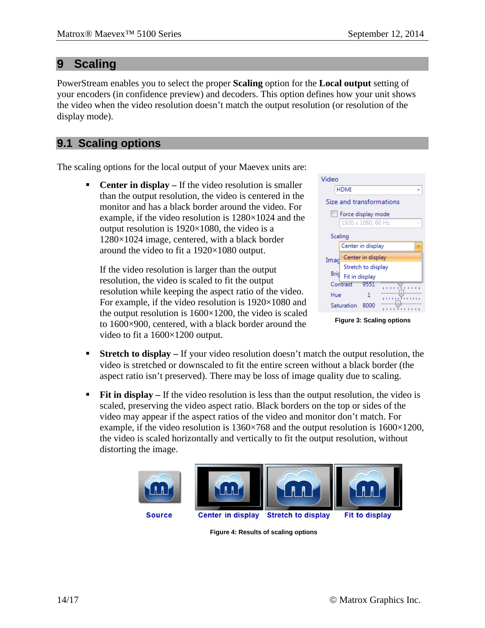## <span id="page-13-1"></span>**9 Scaling**

PowerStream enables you to select the proper **Scaling** option for the **Local output** setting of your encoders (in confidence preview) and decoders. This option defines how your unit shows the video when the video resolution doesn't match the output resolution (or resolution of the display mode).

## **9.1 Scaling options**

The scaling options for the local output of your Maevex units are:

**•** Center in display – If the video resolution is smaller than the output resolution, the video is centered in the monitor and has a black border around the video. For example, if the video resolution is 1280×1024 and the output resolution is  $1920\times1080$ , the video is a 1280×1024 image, centered, with a black border around the video to fit a 1920×1080 output.

If the video resolution is larger than the output resolution, the video is scaled to fit the output resolution while keeping the aspect ratio of the video. For example, if the video resolution is  $1920\times1080$  and the output resolution is  $1600\times1200$ , the video is scaled to 1600×900, centered, with a black border around the video to fit a 1600×1200 output.

| Video                    |                    |                          |  |  |  |  |  |  |
|--------------------------|--------------------|--------------------------|--|--|--|--|--|--|
| HDMI                     |                    |                          |  |  |  |  |  |  |
| Size and transformations |                    |                          |  |  |  |  |  |  |
| Force display mode       |                    |                          |  |  |  |  |  |  |
|                          | 1920 x 1080, 60 Hz | $\overline{\phantom{a}}$ |  |  |  |  |  |  |
| Scaling                  |                    |                          |  |  |  |  |  |  |
|                          | Center in display  |                          |  |  |  |  |  |  |
| Imad                     | Center in display  |                          |  |  |  |  |  |  |
|                          | Stretch to display |                          |  |  |  |  |  |  |
| Brid                     | Fit in display     |                          |  |  |  |  |  |  |
|                          | Contrast<br>9551   | r.<br>ÚЛ<br>n.<br>٠      |  |  |  |  |  |  |
| Hue                      |                    | 1.1111111111             |  |  |  |  |  |  |
|                          | Saturation<br>8000 |                          |  |  |  |  |  |  |
|                          |                    |                          |  |  |  |  |  |  |

**Figure 3: Scaling options**

- **Stretch to display** If your video resolution doesn't match the output resolution, the video is stretched or downscaled to fit the entire screen without a black border (the aspect ratio isn't preserved). There may be loss of image quality due to scaling.
- **Fit in display** If the video resolution is less than the output resolution, the video is scaled, preserving the video aspect ratio. Black borders on the top or sides of the video may appear if the aspect ratios of the video and monitor don't match. For example, if the video resolution is  $1360 \times 768$  and the output resolution is  $1600 \times 1200$ , the video is scaled horizontally and vertically to fit the output resolution, without distorting the image.

<span id="page-13-0"></span>

**Figure 4: Results of scaling options**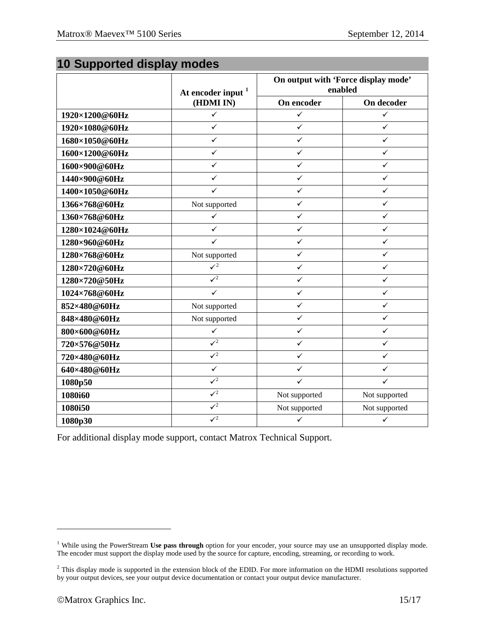## <span id="page-14-0"></span>**10 Supported display modes**

|                | At encoder input $1$<br>(HDMI IN) | On output with 'Force display mode'<br>enabled |               |
|----------------|-----------------------------------|------------------------------------------------|---------------|
|                |                                   | On encoder                                     | On decoder    |
| 1920×1200@60Hz | $\checkmark$                      | ✓                                              | ✓             |
| 1920×1080@60Hz | $\checkmark$                      | $\checkmark$                                   | $\checkmark$  |
| 1680×1050@60Hz | $\checkmark$                      | $\checkmark$                                   | ✓             |
| 1600×1200@60Hz | ✓                                 | ✓                                              | ✓             |
| 1600×900@60Hz  | $\checkmark$                      | $\checkmark$                                   | $\checkmark$  |
| 1440×900@60Hz  | ✓                                 | $\checkmark$                                   | ✓             |
| 1400×1050@60Hz | $\checkmark$                      | ✓                                              | ✓             |
| 1366×768@60Hz  | Not supported                     | $\checkmark$                                   | $\checkmark$  |
| 1360×768@60Hz  | $\checkmark$                      | $\checkmark$                                   | $\checkmark$  |
| 1280×1024@60Hz | $\checkmark$                      | ✓                                              | ✓             |
| 1280×960@60Hz  | $\checkmark$                      | $\checkmark$                                   | $\checkmark$  |
| 1280×768@60Hz  | Not supported                     | $\checkmark$                                   | $\checkmark$  |
| 1280×720@60Hz  | $\mathcal{V}^2$                   | ✓                                              | ✓             |
| 1280×720@50Hz  | $\sqrt{2}$                        | $\checkmark$                                   | $\checkmark$  |
| 1024×768@60Hz  | $\checkmark$                      | $\checkmark$                                   | $\checkmark$  |
| 852×480@60Hz   | Not supported                     | ✓                                              | ✓             |
| 848×480@60Hz   | Not supported                     | $\checkmark$                                   | $\checkmark$  |
| 800×600@60Hz   | ✓                                 | $\checkmark$                                   | $\checkmark$  |
| 720×576@50Hz   | $\sqrt{2}$                        | ✓                                              | ✓             |
| 720×480@60Hz   | $\sqrt{2}$                        | $\checkmark$                                   | ✓             |
| 640×480@60Hz   | $\checkmark$                      | $\checkmark$                                   | $\checkmark$  |
| 1080p50        | $\sqrt{2}$                        | $\checkmark$                                   | $\checkmark$  |
| 1080i60        | $\sqrt{2}$                        | Not supported                                  | Not supported |
| 1080i50        | $\mathcal{I}^2$                   | Not supported                                  | Not supported |
| 1080p30        | $\sqrt{2}$                        | $\checkmark$                                   | $\checkmark$  |

<span id="page-14-1"></span>For additional display mode support, contact Matrox Technical Support.

 $\overline{a}$ 

<span id="page-14-2"></span><sup>&</sup>lt;sup>1</sup> While using the PowerStream Use pass through option for your encoder, your source may use an unsupported display mode. The encoder must support the display mode used by the source for capture, encoding, streaming, or recording to work.

<span id="page-14-3"></span><sup>&</sup>lt;sup>2</sup> This display mode is supported in the extension block of the EDID. For more information on the HDMI resolutions supported by your output devices, see your output device documentation or contact your output device manufacturer.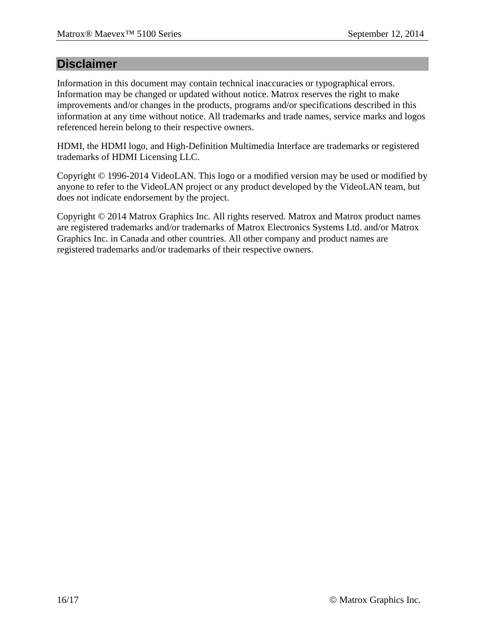#### **Disclaimer**

Information in this document may contain technical inaccuracies or typographical errors. Information may be changed or updated without notice. Matrox reserves the right to make improvements and/or changes in the products, programs and/or specifications described in this information at any time without notice. All trademarks and trade names, service marks and logos referenced herein belong to their respective owners.

HDMI, the HDMI logo, and High-Definition Multimedia Interface are trademarks or registered trademarks of HDMI Licensing LLC.

Copyright © 1996-2014 VideoLAN. This logo or a modified version may be used or modified by anyone to refer to the VideoLAN project or any product developed by the VideoLAN team, but does not indicate endorsement by the project.

Copyright © 2014 Matrox Graphics Inc. All rights reserved. Matrox and Matrox product names are registered trademarks and/or trademarks of Matrox Electronics Systems Ltd. and/or Matrox Graphics Inc. in Canada and other countries. All other company and product names are registered trademarks and/or trademarks of their respective owners.